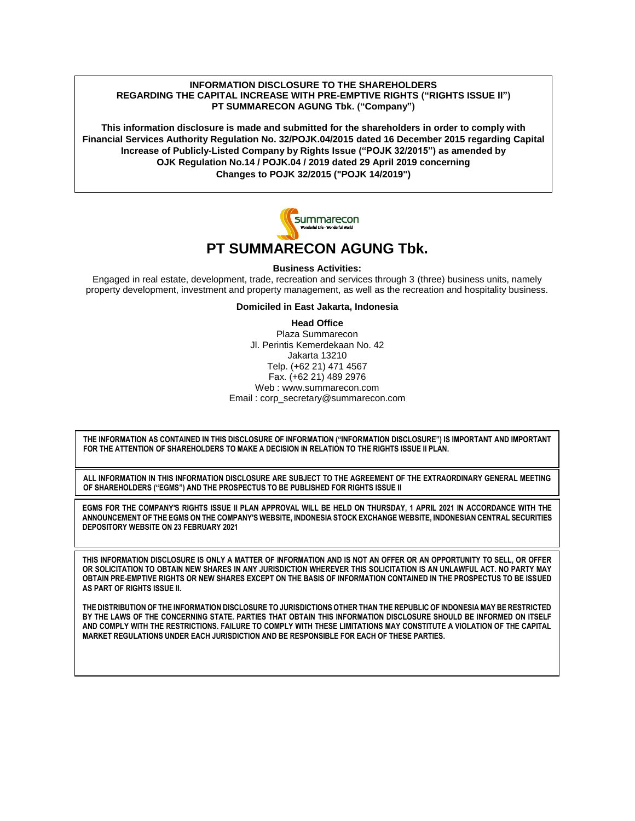#### **INFORMATION DISCLOSURE TO THE SHAREHOLDERS REGARDING THE CAPITAL INCREASE WITH PRE-EMPTIVE RIGHTS ("RIGHTS ISSUE II") PT SUMMARECON AGUNG Tbk. ("Company")**

**This information disclosure is made and submitted for the shareholders in order to comply with Financial Services Authority Regulation No. 32/POJK.04/2015 dated 16 December 2015 regarding Capital Increase of Publicly-Listed Company by Rights Issue ("POJK 32/2015") as amended by OJK Regulation No.14 / POJK.04 / 2019 dated 29 April 2019 concerning Changes to POJK 32/2015 ("POJK 14/2019")**



# **PT SUMMARECON AGUNG Tbk.**

**Business Activities:**

Engaged in real estate, development, trade, recreation and services through 3 (three) business units, namely property development, investment and property management, as well as the recreation and hospitality business.

**Domiciled in East Jakarta, Indonesia**

**Head Office** Plaza Summarecon Jl. Perintis Kemerdekaan No. 42 Jakarta 13210 Telp. (+62 21) 471 4567 Fax. (+62 21) 489 2976 Web : www.summarecon.com Email : corp\_secretary@summarecon.com

**THE INFORMATION AS CONTAINED IN THIS DISCLOSURE OF INFORMATION ("INFORMATION DISCLOSURE") IS IMPORTANT AND IMPORTANT FOR THE ATTENTION OF SHAREHOLDERS TO MAKE A DECISION IN RELATION TO THE RIGHTS ISSUE II PLAN.**

**ALL INFORMATION IN THIS INFORMATION DISCLOSURE ARE SUBJECT TO THE AGREEMENT OF THE EXTRAORDINARY GENERAL MEETING OF SHAREHOLDERS ("EGMS") AND THE PROSPECTUS TO BE PUBLISHED FOR RIGHTS ISSUE II**

**EGMS FOR THE COMPANY'S RIGHTS ISSUE II PLAN APPROVAL WILL BE HELD ON THURSDAY, 1 APRIL 2021 IN ACCORDANCE WITH THE ANNOUNCEMENT OF THE EGMS ON THE COMPANY'S WEBSITE, INDONESIA STOCK EXCHANGE WEBSITE, INDONESIAN CENTRAL SECURITIES DEPOSITORY WEBSITE ON 23 FEBRUARY 2021**

**THIS INFORMATION DISCLOSURE IS ONLY A MATTER OF INFORMATION AND IS NOT AN OFFER OR AN OPPORTUNITY TO SELL, OR OFFER OR SOLICITATION TO OBTAIN NEW SHARES IN ANY JURISDICTION WHEREVER THIS SOLICITATION IS AN UNLAWFUL ACT. NO PARTY MAY OBTAIN PRE-EMPTIVE RIGHTS OR NEW SHARES EXCEPT ON THE BASIS OF INFORMATION CONTAINED IN THE PROSPECTUS TO BE ISSUED AS PART OF RIGHTS ISSUE II.**

**THE DISTRIBUTION OF THE INFORMATION DISCLOSURE TO JURISDICTIONS OTHER THAN THE REPUBLIC OF INDONESIA MAY BE RESTRICTED BY THE LAWS OF THE CONCERNING STATE. PARTIES THAT OBTAIN THIS INFORMATION DISCLOSURE SHOULD BE INFORMED ON ITSELF AND COMPLY WITH THE RESTRICTIONS. FAILURE TO COMPLY WITH THESE LIMITATIONS MAY CONSTITUTE A VIOLATION OF THE CAPITAL MARKET REGULATIONS UNDER EACH JURISDICTION AND BE RESPONSIBLE FOR EACH OF THESE PARTIES.**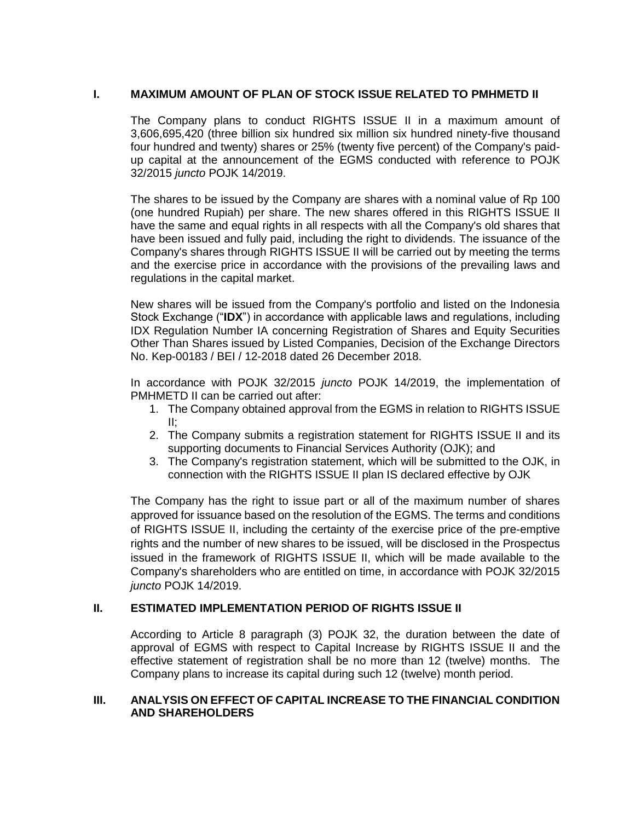### **I. MAXIMUM AMOUNT OF PLAN OF STOCK ISSUE RELATED TO PMHMETD II**

The Company plans to conduct RIGHTS ISSUE II in a maximum amount of 3,606,695,420 (three billion six hundred six million six hundred ninety-five thousand four hundred and twenty) shares or 25% (twenty five percent) of the Company's paidup capital at the announcement of the EGMS conducted with reference to POJK 32/2015 *juncto* POJK 14/2019.

The shares to be issued by the Company are shares with a nominal value of Rp 100 (one hundred Rupiah) per share. The new shares offered in this RIGHTS ISSUE II have the same and equal rights in all respects with all the Company's old shares that have been issued and fully paid, including the right to dividends. The issuance of the Company's shares through RIGHTS ISSUE II will be carried out by meeting the terms and the exercise price in accordance with the provisions of the prevailing laws and regulations in the capital market.

New shares will be issued from the Company's portfolio and listed on the Indonesia Stock Exchange ("**IDX**") in accordance with applicable laws and regulations, including IDX Regulation Number IA concerning Registration of Shares and Equity Securities Other Than Shares issued by Listed Companies, Decision of the Exchange Directors No. Kep-00183 / BEI / 12-2018 dated 26 December 2018.

In accordance with POJK 32/2015 *juncto* POJK 14/2019, the implementation of PMHMETD II can be carried out after:

- 1. The Company obtained approval from the EGMS in relation to RIGHTS ISSUE II;
- 2. The Company submits a registration statement for RIGHTS ISSUE II and its supporting documents to Financial Services Authority (OJK); and
- 3. The Company's registration statement, which will be submitted to the OJK, in connection with the RIGHTS ISSUE II plan IS declared effective by OJK

The Company has the right to issue part or all of the maximum number of shares approved for issuance based on the resolution of the EGMS. The terms and conditions of RIGHTS ISSUE II, including the certainty of the exercise price of the pre-emptive rights and the number of new shares to be issued, will be disclosed in the Prospectus issued in the framework of RIGHTS ISSUE II, which will be made available to the Company's shareholders who are entitled on time, in accordance with POJK 32/2015 *juncto* POJK 14/2019.

### **II. ESTIMATED IMPLEMENTATION PERIOD OF RIGHTS ISSUE II**

According to Article 8 paragraph (3) POJK 32, the duration between the date of approval of EGMS with respect to Capital Increase by RIGHTS ISSUE II and the effective statement of registration shall be no more than 12 (twelve) months. The Company plans to increase its capital during such 12 (twelve) month period.

#### **III. ANALYSIS ON EFFECT OF CAPITAL INCREASE TO THE FINANCIAL CONDITION AND SHAREHOLDERS**